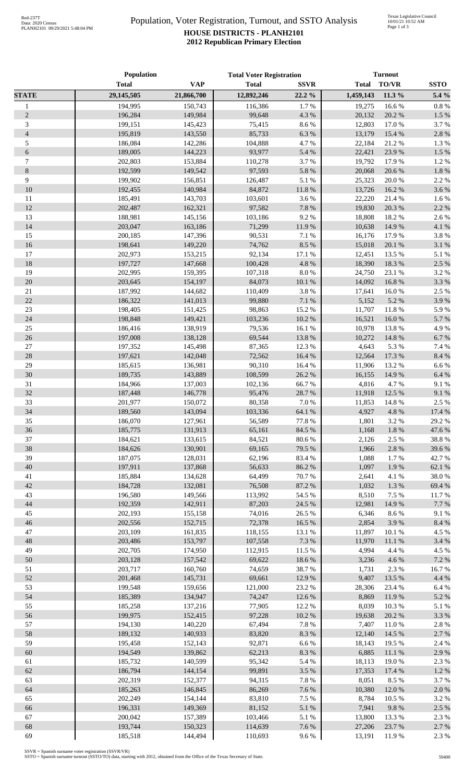## Population, Voter Registration, Turnout, and SSTO Analysis **HOUSE DISTRICTS - PLANH2101 2012 Republican Primary Election**

|                | Population         |                    | <b>Total Voter Registration</b> |                 | <b>Turnout</b> |               |                 |
|----------------|--------------------|--------------------|---------------------------------|-----------------|----------------|---------------|-----------------|
|                | <b>Total</b>       | <b>VAP</b>         | <b>Total</b>                    | <b>SSVR</b>     | <b>Total</b>   | TO/VR         | <b>SSTO</b>     |
| <b>STATE</b>   | 29,145,505         | 21,866,700         | 12,892,246                      | 22.2 %          | 1,459,143      | 11.3 %        | 5.4 %           |
| $\mathbf{1}$   | 194,995            | 150,743            | 116,386                         | 1.7%            | 19,275         | 16.6%         | 0.8 %           |
| $\sqrt{2}$     | 196,284            | 149,984            | 99,648                          | 4.3 %           | 20,132         | 20.2 %        | 1.5 %           |
| 3              | 199,151            | 145,423            | 75,415                          | 8.6%            | 12,803         | 17.0%         | 3.7%            |
| $\overline{4}$ | 195,819            | 143,550            | 85,733                          | $6.3~\%$        | 13,179         | 15.4 %        | 2.8%            |
| 5              | 186,084            | 142,286            | 104,888                         | 4.7%            | 22,184         | 21.2%         | 1.3%            |
| 6              | 189,005            | 144,223            | 93,977                          | 5.4 %           | 22,421         | 23.9%         | 1.5 %           |
| $\tau$         | 202,803            | 153,884            | 110,278                         | 3.7%            | 19,792         | 17.9%         | 1.2%            |
| $8\,$          | 192,599            | 149,542            | 97,593                          | $5.8~\%$        | 20,068         | 20.6 %        | 1.8%            |
| 9              | 199,902            | 156,851            | 126,487                         | 5.1 %           | 25,323         | 20.0%         | 2.2 %           |
| 10             | 192,455            | 140,984            | 84,872                          | $11.8\ \%$      | 13,726         | 16.2%         | 3.6%            |
| 11             | 185,491            | 143,703            | 103,601                         | 3.6%            | 22,220         | 21.4 %        | 1.6 %           |
| 12             | 202,487            | 162,321            | 97,582                          | $7.8~\%$        | 19,830         | 20.3 %        | 2.2 %           |
| 13             | 188,981            | 145,156            | 103,186                         | 9.2%            | 18,808         | 18.2%         | 2.6%            |
| 14             | 203,047            | 163,186            | 71,299                          | 11.9%           | 10,638         | 14.9%         | 4.1 %           |
| 15             | 200,185            | 147,396            | 90,531                          | 7.1 %           | 16,176         | 17.9%         | 3.8%            |
| 16             | 198,641            | 149,220            | 74,762                          | $8.5\ \%$       | 15,018         | 20.1 %        | 3.1%            |
| 17             | 202,973            | 153,215            | 92,134                          | 17.1 %          | 12,451         | 13.5 %        | 5.1 %           |
| 18             | 197,727            | 147,668            | 100,428                         | 4.8 %           | 18,390         | 18.3%         | 2.5 %           |
| 19             | 202,995            | 159,395            | 107,318                         | $8.0\ \%$       | 24,750         | 23.1 %        | 3.2 %           |
| 20             | 203,645            | 154,197            | 84,073                          | 10.1%           | 14,092         | 16.8%         | 3.3 %           |
| 21             | 187,992            | 144,682            | 110,409                         | $3.8\ \%$       | 17,641         | 16.0%         | 2.5 %           |
| 22             | 186,322            | 141,013            | 99,880                          | $7.1\ \%$       | 5,152          | 5.2%          | 3.9%            |
| $23\,$         | 198,405            | 151,425            | 98,863                          | 15.2%           | 11,707         | 11.8%         | 5.9%            |
| 24             | 198,848            | 149,421            | 103,236                         | 10.2 %          | 16,521         | 16.0%         | 5.7%            |
| $25\,$         | 186,416            | 138,919            | 79,536                          | 16.1%           | 10,978         | 13.8%         | 4.9%            |
| 26             | 197,008            | 138,128            | 69,544                          | 13.8 %          | 10,272         | 14.8%         | 6.7%            |
| $27\,$         | 197,352            | 145,498            | 87,365                          | 12.3 %          | 4,643          | 5.3 %         | 7.4 %           |
| $28\,$         | 197,621            | 142,048            | 72,562                          | 16.4 %          | 12,564         | 17.3 %        | 8.4%            |
| 29             | 185,615            | 136,981            | 90,310                          | 16.4%           | 11,906         | 13.2 %        | 6.6%            |
| 30             | 189,735            | 143,889            | 108,599                         | 26.2%           | 16,155         | 14.9%         | 6.4 %           |
| 31             | 184,966            | 137,003            | 102,136                         | 66.7%           | 4,816          | 4.7%          | 9.1%            |
| 32             | 187,448            | 146,778            | 95,476                          | 28.7%           | 11,918         | 12.5 %        | 9.1%            |
| 33             | 201,977            | 150,072            | 80,358                          | 7.0%            | 11,853         | 14.8%         | 2.5 %           |
| 34             | 189,560            | 143,094            | 103,336                         | 64.1%           | 4,927          | 4.8%          | 17.4 %          |
| 35             | 186,070            | 127,961            | 56,589                          | 77.8%           | 1,801          | 3.2 %         | 29.2 %          |
| 36             | 185,775            | 131,913            | 65,161                          | 84.5 %          | 1,168          | 1.8%          | 47.6 %          |
| 37             | 184,621            | 133,615            | 84,521                          | 80.6%           | 2,126          | 2.5 %         | 38.8%           |
| 38             | 184,626            | 130,901            | 69,165                          | 79.5 %          | 1,966          | 2.8%          | 39.6%           |
| 39             | 187,075            | 128,031            | 62,196                          | 83.4%           | 1,088          | 1.7%          | 42.7%           |
| 40             | 197,911            | 137,868            | 56,633                          | 86.2%           | 1,097          | 1.9%          | 62.1 %<br>38.0% |
| 41<br>42       | 185,884            | 134,628            | 64,499<br>76,508                | 70.7%<br>87.2 % | 2,641          | 4.1 %<br>1.3% |                 |
| 43             | 184,728<br>196,580 | 132,081<br>149,566 | 113,992                         | 54.5 %          | 1,032<br>8,510 | 7.5 %         | 69.4 %<br>11.7% |
| 44             | 192,359            | 142,911            | 87,203                          | 24.5 %          | 12,981         | 14.9%         | 7.7 %           |
| 45             | 202,193            | 155,158            | 74,016                          | 26.5 %          | 6,346          | 8.6%          | 9.1%            |
| 46             | 202,556            | 152,715            | 72,378                          | 16.5 %          | 2,854          | 3.9%          | 8.4%            |
| 47             | 203,109            | 161,835            | 118,155                         | 13.1 %          | 11,897         | 10.1%         | 4.5 %           |
| 48             | 203,486            | 153,797            | 107,558                         | 7.3 %           | 11,970         | 11.1 %        | 3.4 %           |
| 49             | 202,705            | 174,950            | 112,915                         | 11.5 %          | 4,994          | 4.4 %         | 4.5 %           |
| 50             | 203,128            | 157,542            | 69,622                          | 18.6 %          | 3,236          | 4.6%          | 7.2 %           |
| 51             | 203,717            | 160,760            | 74,659                          | 38.7%           | 1,731          | 2.3 %         | 16.7%           |
| 52             | 201,468            | 145,731            | 69,661                          | 12.9%           | 9,407          | 13.5 %        | 4.4 %           |
| 53             | 199,548            | 159,656            | 121,000                         | 23.2 %          | 28,306         | 23.4 %        | 6.4 %           |
| 54             | 185,389            | 134,947            | 74,247                          | 12.6 %          | 8,869          | 11.9%         | 5.2 %           |
| 55             | 185,258            | 137,216            | 77,905                          | 12.2 %          | 8,039          | 10.3%         | 5.1 %           |
| 56             | 199,975            | 152,415            | 97,228                          | $10.2~\%$       | 19,638         | 20.2 %        | 3.3%            |
| 57             | 194,130            | 140,220            | 67,494                          | 7.8 %           | 7,407          | 11.0%         | 2.8 %           |
| 58             | 189,132            | 140,933            | 83,820                          | 8.3 %           | 12,140         | 14.5 %        | 2.7 %           |
| 59             | 195,458            | 152,143            | 92,871                          | $6.6\ \%$       | 18,143         | 19.5 %        | 2.4 %           |
| 60             | 194,549            | 139,862            | 62,213                          | $8.3\ \%$       | 6,885          | 11.1 %        | 2.9%            |
| 61             | 185,732            | 140,599            | 95,342                          | 5.4 %           | 18,113         | 19.0%         | 2.3 %           |
| 62             | 186,794            | 144,154            | 99,891                          | 3.5 %           | 17,353         | 17.4 %        | 1.2%            |
| 63             | 202,319            | 152,377            | 94,315                          | 7.8 %           | 8,051          | 8.5 %         | 3.7%            |
| 64             | 185,263            | 146,845            | 86,269                          | 7.6 %           | 10,380         | 12.0%         | 2.0%            |
| 65             | 202,249            | 154,144            | 83,810                          | 7.5 %           | 8,784          | 10.5 %        | 3.2 %           |
| 66             | 196,331            | 149,369            | 81,152                          | 5.1 %           | 7,941          | 9.8%          | 2.5 %           |
| 67             | 200,042            | 157,389            | 103,466                         | 5.1 %           | 13,800         | 13.3 %        | 2.3 %           |
| 68             | 193,744            | 150,323            | 114,639                         | 7.6 %           | 27,206         | 23.7 %        | 2.7 %           |
| 69             | 185,518            | 144,494            | 110,693                         | $9.6\;\%$       | 13,191         | 11.9%         | 2.3 %           |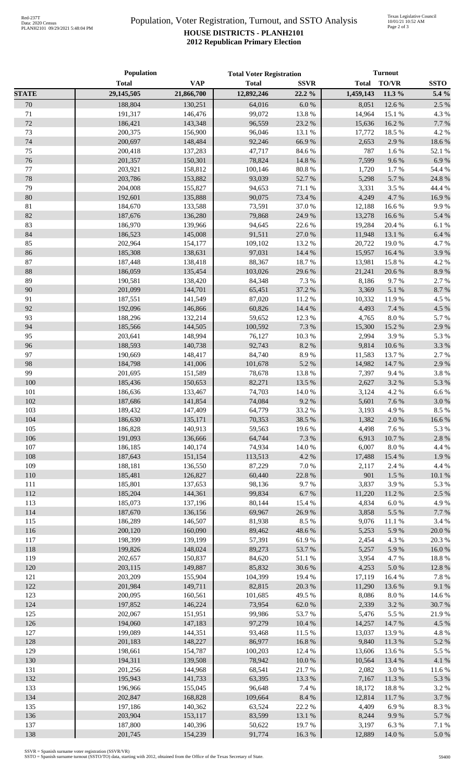## Population, Voter Registration, Turnout, and SSTO Analysis **HOUSE DISTRICTS - PLANH2101 2012 Republican Primary Election**

|              | Population         |                    | <b>Total Voter Registration</b> |                 | <b>Turnout</b>  |                    |                |
|--------------|--------------------|--------------------|---------------------------------|-----------------|-----------------|--------------------|----------------|
|              | <b>Total</b>       | <b>VAP</b>         | <b>Total</b>                    | <b>SSVR</b>     | <b>Total</b>    | <b>TO/VR</b>       | <b>SSTO</b>    |
| <b>STATE</b> | 29,145,505         | 21,866,700         | 12,892,246                      | 22.2%           | 1,459,143       | 11.3 %             | 5.4 %          |
| 70           | 188,804            | 130,251            | 64,016                          | 6.0 %           | 8,051           | 12.6 %             | 2.5 %          |
| 71           | 191,317            | 146,476            | 99,072                          | 13.8%           | 14,964          | 15.1 %             | 4.3 %          |
| 72           | 186,421            | 143,348            | 96,559                          | 23.2 %          | 15,636          | 16.2%              | 7.7%           |
| 73           | 200,375            | 156,900            | 96,046                          | 13.1 %          | 17,772          | 18.5 %             | 4.2%           |
| 74           | 200,697            | 148,484            | 92,246                          | 66.9%           | 2,653           | 2.9%               | 18.6%          |
| 75           | 200,418            | 137,283            | 47,717                          | 84.6 %          | 787             | 1.6%               | 52.1 %         |
| 76           | 201,357            | 150,301            | 78,824                          | 14.8 %          | 7,599           | 9.6%               | 6.9%           |
| 77           | 203,921            | 158,812            | 100,146                         | $80.8~\%$       | 1,720           | 1.7%               | 54.4 %         |
| 78           | 203,786            | 153,882            | 93,039                          | 52.7%           | 5,298           | 5.7%               | 24.8 %         |
| 79           | 204,008            | 155,827            | 94,653                          | 71.1 %          | 3,331           | 3.5 %              | 44.4 %         |
| 80           | 192,601            | 135,888            | 90,075                          | 73.4 %          | 4,249           | 4.7%               | 16.9%          |
| 81           | 184,670            | 133,588            | 73,591                          | 37.0%           | 12,188          | 16.6%              | 9.9%           |
| 82           | 187,676            | 136,280            | 79,868                          | 24.9%           | 13,278          | 16.6%              | 5.4 %          |
| 83           | 186,970            | 139,966            | 94,645                          | 22.6%           | 19,284          | 20.4 %             | 6.1 %          |
| 84           | 186,523            | 145,008            | 91,511                          | 27.0%           | 11,948          | 13.1 %             | 6.4 %          |
| 85           | 202,964            | 154,177            | 109,102                         | 13.2 %          | 20,722          | 19.0%              | 4.7%           |
| 86           | 185,308            | 138,631            | 97,031                          | 14.4 %          | 15,957          | 16.4 %             | 3.9%           |
| 87           | 187,448            | 138,418            | 88,367                          | 18.7%           | 13,981          | 15.8%              | 4.2 %          |
| $88\,$       | 186,059            | 135,454            | 103,026                         | 29.6%           | 21,241          | 20.6 %             | 8.9%           |
| 89           | 190,581            | 138,420            | 84,348                          | 7.3 %           | 8,186           | 9.7%               | 2.7%           |
| 90           | 201,099            | 144,701            | 65,451                          | 37.2 %          | 3,369           | 5.1 %              | 8.7%           |
| 91<br>92     | 187,551            | 141,549            | 87,020                          | 11.2%<br>14.4 % | 10,332          | 11.9%              | 4.5 %          |
| 93           | 192,096<br>188,296 | 146,866<br>132,214 | 60,826<br>59,652                | 12.3 %          | 4,493<br>4,765  | 7.4 %<br>$8.0\ \%$ | 4.5 %<br>5.7%  |
| 94           | 185,566            | 144,505            | 100,592                         | 7.3 %           | 15,300          | 15.2 %             | 2.9%           |
| 95           | 203,641            | 148,994            | 76,127                          | $10.3~\%$       | 2,994           | 3.9%               | 5.3 %          |
| 96           | 188,593            | 140,738            | 92,743                          | 8.2%            | 9,814           | 10.6%              | 3.3 %          |
| 97           | 190,669            | 148,417            | 84,740                          | 8.9%            | 11,583          | 13.7 %             | 2.7%           |
| 98           | 184,798            | 141,006            | 101,678                         | 5.2 %           | 14,982          | 14.7%              | 2.9%           |
| 99           | 201,695            | 151,589            | 78,678                          | 13.8 %          | 7,397           | 9.4%               | 3.8 %          |
| 100          | 185,436            | 150,653            | 82,271                          | 13.5 %          | 2,627           | 3.2%               | 5.3 %          |
| 101          | 186,636            | 133,467            | 74,703                          | 14.0 %          | 3,124           | 4.2 %              | 6.6%           |
| 102          | 187,686            | 141,854            | 74,084                          | 9.2%            | 5,601           | 7.6 %              | $3.0\ \%$      |
| 103          | 189,432            | 147,409            | 64,779                          | 33.2 %          | 3,193           | 4.9%               | 8.5%           |
| 104          | 186,630            | 135,171            | 70,353                          | 38.5 %          |                 | 1,382 2.0 %        | 16.6%          |
| 105          | 186,828            | 140,913            | 59,563                          | 19.6%           | 4,498           | 7.6%               | 5.3 %          |
| 106          | 191,093            | 136,666            | 64,744                          | 7.3 %           | 6,913           | 10.7 %             | $2.8\ \%$      |
| 107          | 186,185            | 140,174            | 74,934                          | $14.0\ \%$      | 6,007           | $8.0\ \%$          | 4.4 %          |
| 108          | 187,643            | 151,154            | 113,513                         | 4.2 %           | 17,488          | 15.4 %             | 1.9%           |
| 109          | 188,181            | 136,550            | 87,229                          | 7.0 %           | 2,117           | 2.4 %              | 4.4 %          |
| 110          | 185,481            | 126,827            | 60,440                          | 22.8 %          | 901             | 1.5 %              | $10.1~\%$      |
| 111          | 185,801            | 137,653            | 98,136                          | 9.7%            | 3,837           | 3.9%               | 5.3 %          |
| 112          | 185,204            | 144,361            | 99,834                          | $6.7~\%$        | 11,220          | 11.2 %             | 2.5 %          |
| 113          | 185,073            | 137,196            | 80,144                          | 15.4 %          | 4,834           | 6.0%               | 4.9%           |
| 114          | 187,670            | 136,156            | 69,967                          | 26.9%           | 3,858           | 5.5 %              | 7.7 %          |
| 115          | 186,289            | 146,507            | 81,938                          | 8.5%            | 9,076           | 11.1 %             | 3.4 %          |
| 116          | 200,120            | 160,090            | 89,462                          | 48.6%           | 5,253           | 5.9%               | $20.0~\%$      |
| 117          | 198,399            | 139,199            | 57,391                          | 61.9%           | 2,454           | 4.3 %              | 20.3 %         |
| 118          | 199,826            | 148,024            | 89,273                          | 53.7%           | 5,257           | 5.9%               | $16.0\ \%$     |
| 119          | 202,657            | 150,837            | 84,620                          | 51.1%           | 3,954           | 4.7%               | 18.8%          |
| 120          | 203,115            | 149,887            | 85,832                          | 30.6%           | 4,253           | $5.0\ \%$          | 12.8 %         |
| 121          | 203,209            | 155,904            | 104,399                         | 19.4 %          | 17,119          | 16.4%              | 7.8%           |
| 122          | 201,984            | 149,711            | 82,815                          | 20.3 %          | 11,290          | 13.6 %             | 9.1 %          |
| 123          | 200,095            | 160,561            | 101,685                         | 49.5 %          | 8,086           | 8.0%               | 14.6 %         |
| 124          | 197,852            | 146,224            | 73,954                          | 62.0%           | 2,339           | 3.2 %              | 30.7%          |
| 125<br>126   | 202,067<br>194,060 | 151,951<br>147,183 | 99,986<br>97,279                | 53.7%<br>10.4 % | 5,476<br>14,257 | 5.5 %<br>14.7%     | 21.9%<br>4.5 % |
| 127          | 199,089            | 144,351            | 93,468                          | 11.5 %          | 13,037          | 13.9%              | 4.8%           |
| 128          | 201,183            | 148,227            | 86,977                          | 16.8%           | 9,840           | 11.3 %             | 5.2%           |
| 129          | 198,661            | 154,787            | 100,203                         | 12.4 %          | 13,606          | 13.6 %             | 5.5 %          |
| 130          | 194,311            | 139,508            | 78,942                          | $10.0\ \%$      | 10,564          | 13.4 %             | 4.1%           |
| 131          | 201,256            | 144,968            | 68,541                          | 21.7%           | 2,082           | 3.0%               | 11.6%          |
| 132          | 195,943            | 141,733            | 63,395                          | 13.3 %          | 7,167           | 11.3 %             | 5.3 %          |
| 133          | 196,966            | 155,045            | 96,648                          | 7.4 %           | 18,172          | 18.8%              | 3.2%           |
| 134          | 202,847            | 168,828            | 109,664                         | 8.4 %           | 12,814          | 11.7%              | 3.7%           |
| 135          | 197,186            | 140,362            | 63,524                          | 22.2%           | 4,409           | 6.9%               | 8.3%           |
| 136          | 203,904            | 153,117            | 83,599                          | 13.1 %          | 8,244           | 9.9%               | 5.7%           |
| 137          | 187,800            | 140,396            | 50,622                          | 19.7 %          | 3,197           | 6.3%               | 7.1 %          |
| 138          | 201,745            | 154,239            | 91,774                          | 16.3 %          | 12,889          | 14.0%              | $5.0\ \%$      |